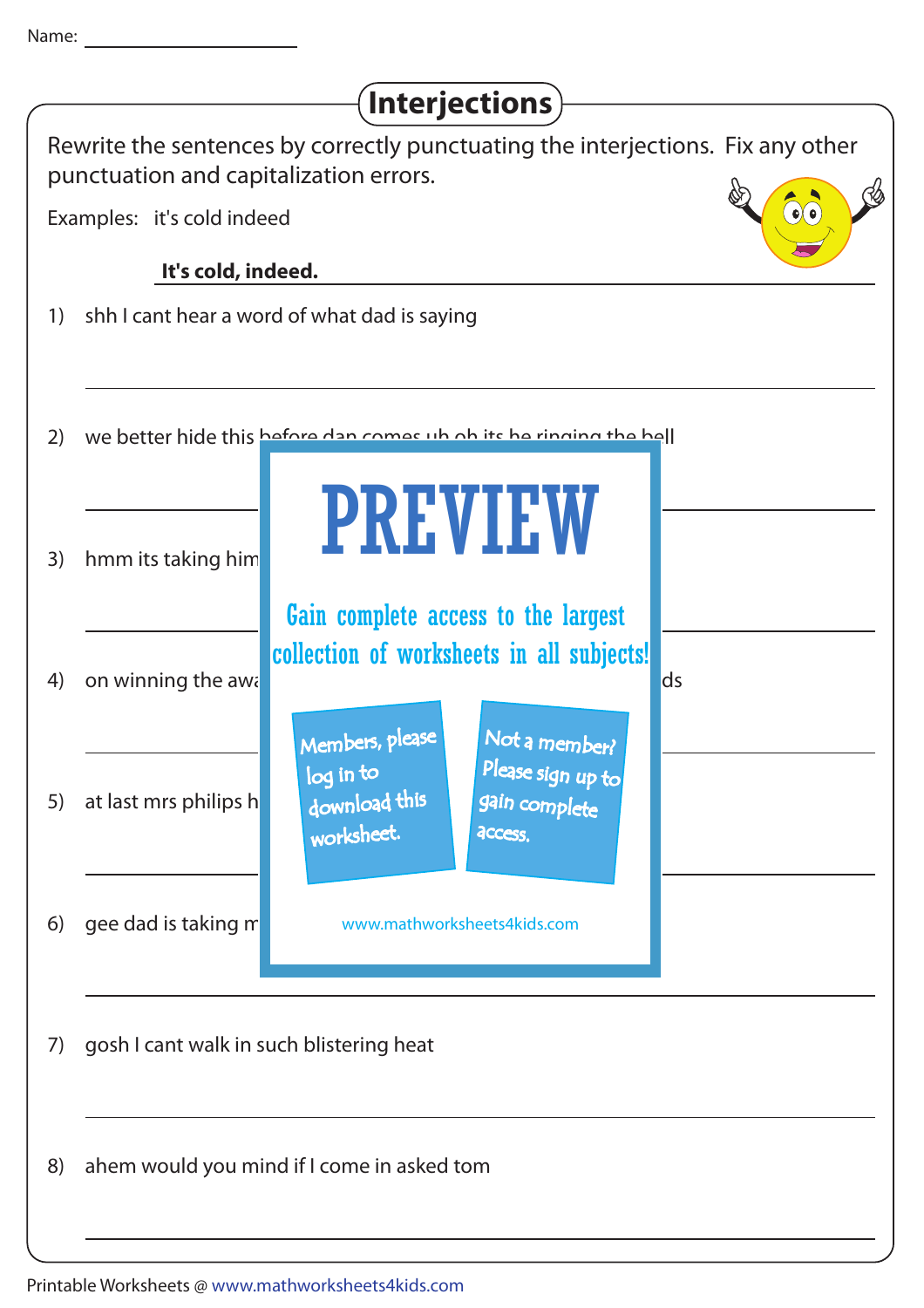| Interjections)                                                                                                            |                                                                                                                           |
|---------------------------------------------------------------------------------------------------------------------------|---------------------------------------------------------------------------------------------------------------------------|
| Rewrite the sentences by correctly punctuating the interjections. Fix any other<br>punctuation and capitalization errors. |                                                                                                                           |
|                                                                                                                           | $\bullet$ $\bullet$<br>Examples: it's cold indeed                                                                         |
|                                                                                                                           | It's cold, indeed.                                                                                                        |
| 1)                                                                                                                        | shh I cant hear a word of what dad is saying                                                                              |
| 2)                                                                                                                        | We better hide this before dan comes up ob its be ringing the hell                                                        |
| 3)                                                                                                                        | <b>PREVIEW</b><br>hmm its taking him<br>Gain complete access to the largest                                               |
| 4)                                                                                                                        | collection of worksheets in all subjects!<br>on winning the awa<br>ds<br>Members, please<br>Not a member?                 |
| 5)                                                                                                                        | Please sign up to<br>log in to<br>download this<br>at last mrs philips h<br>gain complete<br>worksheet.<br><b>ACCESS.</b> |
| 6)                                                                                                                        | gee dad is taking m<br>www.mathworksheets4kids.com                                                                        |
| 7)                                                                                                                        | gosh I cant walk in such blistering heat                                                                                  |
| 8)                                                                                                                        | ahem would you mind if I come in asked tom                                                                                |
|                                                                                                                           |                                                                                                                           |